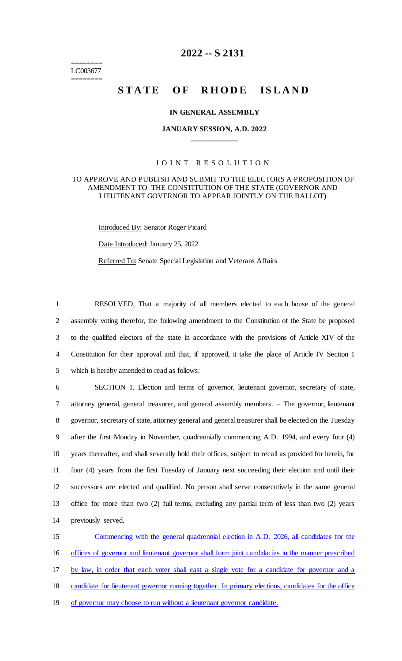======== LC003677 ========

# **2022 -- S 2131**

# **STATE OF RHODE ISLAND**

#### **IN GENERAL ASSEMBLY**

## **JANUARY SESSION, A.D. 2022 \_\_\_\_\_\_\_\_\_\_\_\_**

## JOINT RESOLUTION

#### TO APPROVE AND PUBLISH AND SUBMIT TO THE ELECTORS A PROPOSITION OF AMENDMENT TO THE CONSTITUTION OF THE STATE (GOVERNOR AND LIEUTENANT GOVERNOR TO APPEAR JOINTLY ON THE BALLOT)

Introduced By: Senator Roger Picard

Date Introduced: January 25, 2022

Referred To: Senate Special Legislation and Veterans Affairs

 RESOLVED, That a majority of all members elected to each house of the general assembly voting therefor, the following amendment to the Constitution of the State be proposed to the qualified electors of the state in accordance with the provisions of Article XIV of the Constitution for their approval and that, if approved, it take the place of Article IV Section 1 which is hereby amended to read as follows:

 SECTION 1. Election and terms of governor, lieutenant governor, secretary of state, attorney general, general treasurer, and general assembly members. – The governor, lieutenant governor, secretary of state, attorney general and general treasurer shall be elected on the Tuesday after the first Monday in November, quadrennially commencing A.D. 1994, and every four (4) years thereafter, and shall severally hold their offices, subject to recall as provided for herein, for four (4) years from the first Tuesday of January next succeeding their election and until their successors are elected and qualified. No person shall serve consecutively in the same general office for more than two (2) full terms, excluding any partial term of less than two (2) years previously served.

 Commencing with the general quadrennial election in A.D. 2026, all candidates for the offices of governor and lieutenant governor shall form joint candidacies in the manner prescribed by law, in order that each voter shall cast a single vote for a candidate for governor and a candidate for lieutenant governor running together. In primary elections, candidates for the office of governor may choose to run without a lieutenant governor candidate.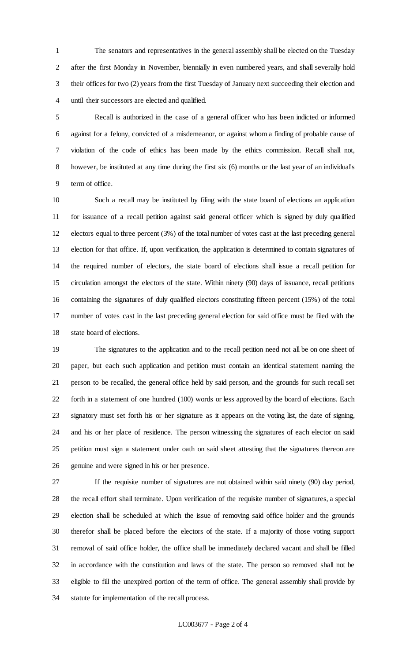The senators and representatives in the general assembly shall be elected on the Tuesday after the first Monday in November, biennially in even numbered years, and shall severally hold their offices for two (2) years from the first Tuesday of January next succeeding their election and until their successors are elected and qualified.

 Recall is authorized in the case of a general officer who has been indicted or informed against for a felony, convicted of a misdemeanor, or against whom a finding of probable cause of violation of the code of ethics has been made by the ethics commission. Recall shall not, however, be instituted at any time during the first six (6) months or the last year of an individual's term of office.

 Such a recall may be instituted by filing with the state board of elections an application for issuance of a recall petition against said general officer which is signed by duly qualified electors equal to three percent (3%) of the total number of votes cast at the last preceding general election for that office. If, upon verification, the application is determined to contain signatures of the required number of electors, the state board of elections shall issue a recall petition for circulation amongst the electors of the state. Within ninety (90) days of issuance, recall petitions containing the signatures of duly qualified electors constituting fifteen percent (15%) of the total number of votes cast in the last preceding general election for said office must be filed with the state board of elections.

 The signatures to the application and to the recall petition need not all be on one sheet of paper, but each such application and petition must contain an identical statement naming the person to be recalled, the general office held by said person, and the grounds for such recall set forth in a statement of one hundred (100) words or less approved by the board of elections. Each signatory must set forth his or her signature as it appears on the voting list, the date of signing, and his or her place of residence. The person witnessing the signatures of each elector on said petition must sign a statement under oath on said sheet attesting that the signatures thereon are genuine and were signed in his or her presence.

 If the requisite number of signatures are not obtained within said ninety (90) day period, the recall effort shall terminate. Upon verification of the requisite number of signatures, a special election shall be scheduled at which the issue of removing said office holder and the grounds therefor shall be placed before the electors of the state. If a majority of those voting support removal of said office holder, the office shall be immediately declared vacant and shall be filled in accordance with the constitution and laws of the state. The person so removed shall not be eligible to fill the unexpired portion of the term of office. The general assembly shall provide by statute for implementation of the recall process.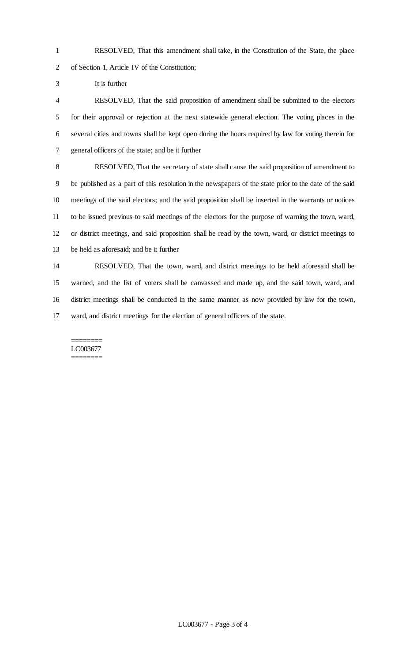RESOLVED, That this amendment shall take, in the Constitution of the State, the place of Section 1, Article IV of the Constitution;

It is further

 RESOLVED, That the said proposition of amendment shall be submitted to the electors for their approval or rejection at the next statewide general election. The voting places in the several cities and towns shall be kept open during the hours required by law for voting therein for general officers of the state; and be it further

 RESOLVED, That the secretary of state shall cause the said proposition of amendment to be published as a part of this resolution in the newspapers of the state prior to the date of the said meetings of the said electors; and the said proposition shall be inserted in the warrants or notices to be issued previous to said meetings of the electors for the purpose of warning the town, ward, or district meetings, and said proposition shall be read by the town, ward, or district meetings to be held as aforesaid; and be it further

 RESOLVED, That the town, ward, and district meetings to be held aforesaid shall be warned, and the list of voters shall be canvassed and made up, and the said town, ward, and district meetings shall be conducted in the same manner as now provided by law for the town, ward, and district meetings for the election of general officers of the state.

#### ======== LC003677 ========